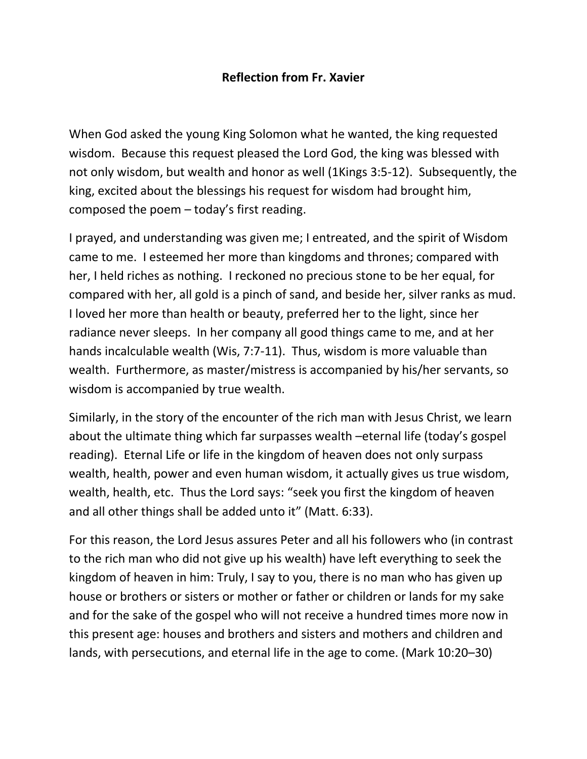## **Reflection from Fr. Xavier**

When God asked the young King Solomon what he wanted, the king requested wisdom. Because this request pleased the Lord God, the king was blessed with not only wisdom, but wealth and honor as well (1Kings 3:5-12). Subsequently, the king, excited about the blessings his request for wisdom had brought him, composed the poem – today's first reading.

I prayed, and understanding was given me; I entreated, and the spirit of Wisdom came to me. I esteemed her more than kingdoms and thrones; compared with her, I held riches as nothing. I reckoned no precious stone to be her equal, for compared with her, all gold is a pinch of sand, and beside her, silver ranks as mud. I loved her more than health or beauty, preferred her to the light, since her radiance never sleeps. In her company all good things came to me, and at her hands incalculable wealth (Wis, 7:7-11). Thus, wisdom is more valuable than wealth. Furthermore, as master/mistress is accompanied by his/her servants, so wisdom is accompanied by true wealth.

Similarly, in the story of the encounter of the rich man with Jesus Christ, we learn about the ultimate thing which far surpasses wealth –eternal life (today's gospel reading). Eternal Life or life in the kingdom of heaven does not only surpass wealth, health, power and even human wisdom, it actually gives us true wisdom, wealth, health, etc. Thus the Lord says: "seek you first the kingdom of heaven and all other things shall be added unto it" (Matt. 6:33).

For this reason, the Lord Jesus assures Peter and all his followers who (in contrast to the rich man who did not give up his wealth) have left everything to seek the kingdom of heaven in him: Truly, I say to you, there is no man who has given up house or brothers or sisters or mother or father or children or lands for my sake and for the sake of the gospel who will not receive a hundred times more now in this present age: houses and brothers and sisters and mothers and children and lands, with persecutions, and eternal life in the age to come. (Mark 10:20–30)